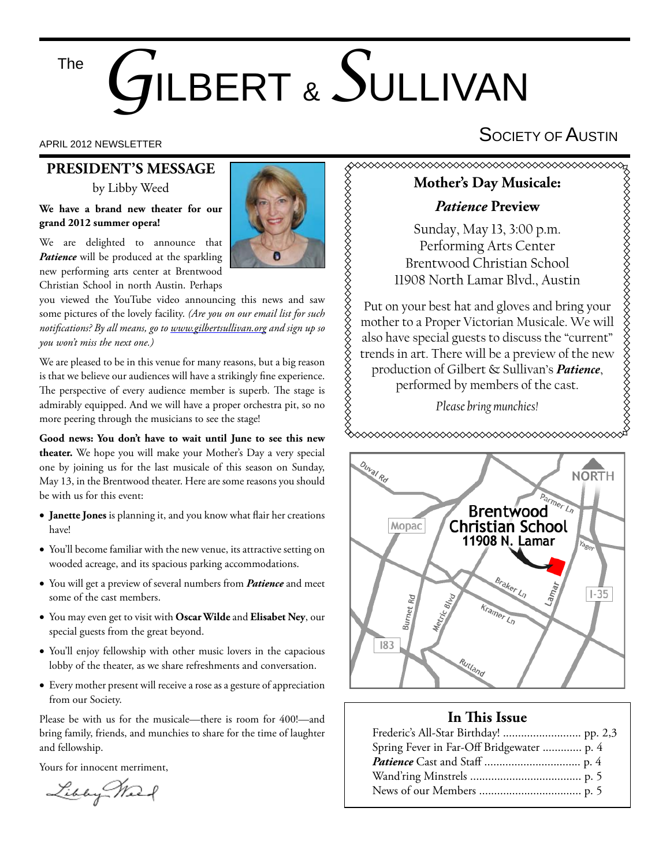#### The

# *G*ILBERT & *S*ULLIVAN

## **PRESIDENT'S MESSAGE**

by Libby Weed

#### **We have a brand new theater for our grand 2012 summer opera!**

We are delighted to announce that *Patience* will be produced at the sparkling new performing arts center at Brentwood Christian School in north Austin. Perhaps

you viewed the YouTube video announcing this news and saw some pictures of the lovely facility. *(Are you on our email list for such notifi cations? By all means, go to www.gilbertsullivan.org and sign up so you won't miss the next one.)*

We are pleased to be in this venue for many reasons, but a big reason is that we believe our audiences will have a strikingly fine experience. The perspective of every audience member is superb. The stage is admirably equipped. And we will have a proper orchestra pit, so no more peering through the musicians to see the stage!

**Good news: You don't have to wait until June to see this new theater.** We hope you will make your Mother's Day a very special one by joining us for the last musicale of this season on Sunday, May 13, in the Brentwood theater. Here are some reasons you should be with us for this event:

- Janette Jones is planning it, and you know what flair her creations have!
- You'll become familiar with the new venue, its attractive setting on wooded acreage, and its spacious parking accommodations.
- You will get a preview of several numbers from *Patience* and meet some of the cast members.
- You may even get to visit with **Oscar Wilde** and **Elisabet Ney**, our special guests from the great beyond.
- You'll enjoy fellowship with other music lovers in the capacious lobby of the theater, as we share refreshments and conversation.
- Every mother present will receive a rose as a gesture of appreciation from our Society.

Please be with us for the musicale—there is room for 400!—and bring family, friends, and munchies to share for the time of laughter and fellowship.

Yours for innocent merriment,

Libby We



# APRIL 2012 NEWSLETTER  $\mathsf{S}$ OCIETY OF  $\mathsf{A}$ USTIN

#### **Mother's Day Musicale:**

#### *Patience* **Preview**

Sunday, May 13, 3:00 p.m. Performing Arts Center Brentwood Christian School 11908 North Lamar Blvd., Austin

Put on your best hat and gloves and bring your mother to a Proper Victorian Musicale. We will also have special guests to discuss the "current" trends in art. There will be a preview of the new production of Gilbert & Sullivan's *Patience*, performed by members of the cast.

*Please bring munchies!*

◇◇◇◇◇◇◇◇◇◇◇◇◇◇◇◇◇◇◇◇◇◇◇◇◇◇◇◇◇



#### **In This Issue**

| Spring Fever in Far-Off Bridgewater  p. 4 |  |
|-------------------------------------------|--|
|                                           |  |
|                                           |  |
|                                           |  |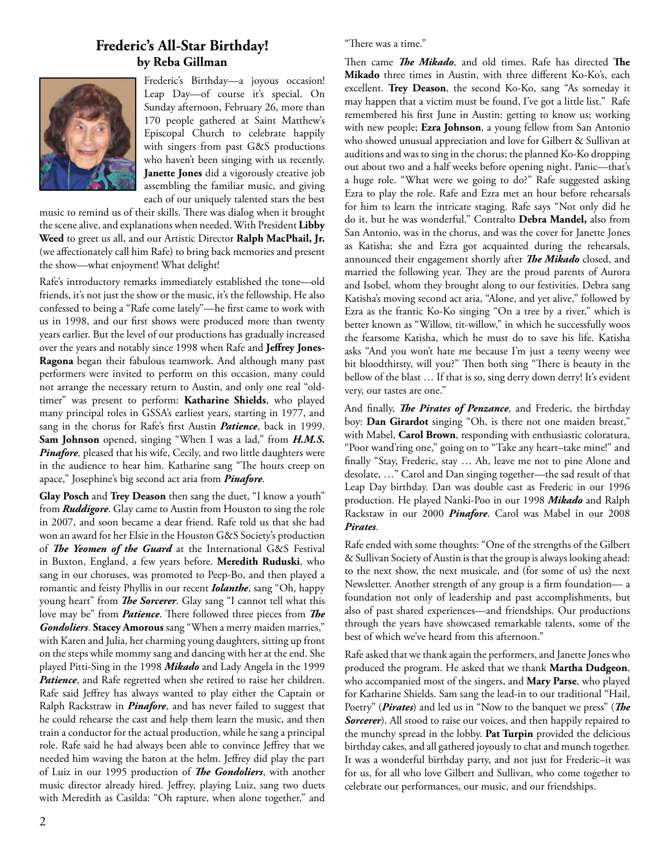#### **Frederic's All-Star Birthday! by Reba Gillman**



Frederic's Birthday—a joyous occasion! Leap Day—of course it's special. On Sunday afternoon, February 26, more than 170 people gathered at Saint Matthew's Episcopal Church to celebrate happily with singers from past G&S productions who haven't been singing with us recently. **Janette Jones** did a vigorously creative job assembling the familiar music, and giving each of our uniquely talented stars the best

music to remind us of their skills. There was dialog when it brought the scene alive, and explanations when needed. With President **Libby Weed** to greet us all, and our Artistic Director **Ralph MacPhail, Jr.** (we affectionately call him Rafe) to bring back memories and present the show—what enjoyment! What delight!

Rafe's introductory remarks immediately established the tone—old friends, it's not just the show or the music, it's the fellowship. He also confessed to being a "Rafe come lately"-he first came to work with us in 1998, and our first shows were produced more than twenty years earlier. But the level of our productions has gradually increased over the years and notably since 1998 when Rafe and Jeffrey Jones-**Ragona** began their fabulous teamwork. And although many past performers were invited to perform on this occasion, many could not arrange the necessary return to Austin, and only one real "oldtimer" was present to perform: **Katharine Shields**, who played many principal roles in GSSA's earliest years, starting in 1977, and sang in the chorus for Rafe's first Austin *Patience*, back in 1999. **Sam Johnson** opened, singing "When I was a lad," from *H.M.S. Pinafore,* pleased that his wife, Cecily, and two little daughters were in the audience to hear him. Katharine sang "The hours creep on apace," Josephine's big second act aria from *Pinafore*.

**Glay Posch** and **Trey Deason** then sang the duet, "I know a youth" from *Ruddigore*. Glay came to Austin from Houston to sing the role in 2007, and soon became a dear friend. Rafe told us that she had won an award for her Elsie in the Houston G&S Society's production of *The Yeomen of the Guard* at the International G&S Festival in Buxton, England, a few years before. **Meredith Ruduski**, who sang in our choruses, was promoted to Peep-Bo, and then played a romantic and feisty Phyllis in our recent *Iolanthe*, sang "Oh, happy young heart" from *The Sorcerer*. Glay sang "I cannot tell what this love may be" from *Patience*. There followed three pieces from *The Gondoliers*. **Stacey Amorous** sang "When a merry maiden marries," with Karen and Julia, her charming young daughters, sitting up front on the steps while mommy sang and dancing with her at the end. She played Pitti-Sing in the 1998 *Mikado* and Lady Angela in the 1999 *Patience*, and Rafe regretted when she retired to raise her children. Rafe said Jeffrey has always wanted to play either the Captain or Ralph Rackstraw in *Pinafore*, and has never failed to suggest that he could rehearse the cast and help them learn the music, and then train a conductor for the actual production, while he sang a principal role. Rafe said he had always been able to convince Jeffrey that we needed him waving the baton at the helm. Jeffrey did play the part of Luiz in our 1995 production of *The Gondoliers*, with another music director already hired. Jeffrey, playing Luiz, sang two duets with Meredith as Casilda: "Oh rapture, when alone together," and

"There was a time."

Then came *The Mikado*, and old times. Rafe has directed The Mikado three times in Austin, with three different Ko-Ko's, each excellent. **Trey Deason**, the second Ko-Ko, sang "As someday it may happen that a victim must be found, I've got a little list." Rafe remembered his first June in Austin: getting to know us; working with new people; **Ezra Johnson**, a young fellow from San Antonio who showed unusual appreciation and love for Gilbert & Sullivan at auditions and was to sing in the chorus; the planned Ko-Ko dropping out about two and a half weeks before opening night. Panic—that's a huge role. "What were we going to do?" Rafe suggested asking Ezra to play the role. Rafe and Ezra met an hour before rehearsals for him to learn the intricate staging. Rafe says "Not only did he do it, but he was wonderful." Contralto **Debra Mandel,** also from San Antonio, was in the chorus, and was the cover for Janette Jones as Katisha; she and Ezra got acquainted during the rehearsals, announced their engagement shortly after *The Mikado* closed, and married the following year. They are the proud parents of Aurora and Isobel, whom they brought along to our festivities. Debra sang Katisha's moving second act aria, "Alone, and yet alive," followed by Ezra as the frantic Ko-Ko singing "On a tree by a river," which is better known as "Willow, tit-willow," in which he successfully woos the fearsome Katisha, which he must do to save his life. Katisha asks "And you won't hate me because I'm just a teeny weeny wee bit bloodthirsty, will you?" Then both sing "There is beauty in the bellow of the blast … If that is so, sing derry down derry! It's evident very, our tastes are one."

And finally, *The Pirates of Penzance*, and Frederic, the birthday boy: **Dan Girardot** singing "Oh, is there not one maiden breast," with Mabel, **Carol Brown**, responding with enthusiastic coloratura, "Poor wand'ring one," going on to "Take any heart–take mine!" and finally "Stay, Frederic, stay ... Ah, leave me not to pine Alone and desolate, …" Carol and Dan singing together—the sad result of that Leap Day birthday. Dan was double cast as Frederic in our 1996 production. He played Nanki-Poo in our 1998 *Mikado* and Ralph Rackstaw in our 2000 *Pinafore*. Carol was Mabel in our 2008 *Pirates*.

Rafe ended with some thoughts: "One of the strengths of the Gilbert & Sullivan Society of Austin is that the group is always looking ahead: to the next show, the next musicale, and (for some of us) the next Newsletter. Another strength of any group is a firm foundation-a foundation not only of leadership and past accomplishments, but also of past shared experiences—and friendships. Our productions through the years have showcased remarkable talents, some of the best of which we've heard from this afternoon."

Rafe asked that we thank again the performers, and Janette Jones who produced the program. He asked that we thank **Martha Dudgeon**, who accompanied most of the singers, and **Mary Parse**, who played for Katharine Shields. Sam sang the lead-in to our traditional "Hail, Poetry" (*Pirates*) and led us in "Now to the banquet we press" (*The Sorcerer*). All stood to raise our voices, and then happily repaired to the munchy spread in the lobby. **Pat Turpin** provided the delicious birthday cakes, and all gathered joyously to chat and munch together. It was a wonderful birthday party, and not just for Frederic–it was for us, for all who love Gilbert and Sullivan, who come together to celebrate our performances, our music, and our friendships.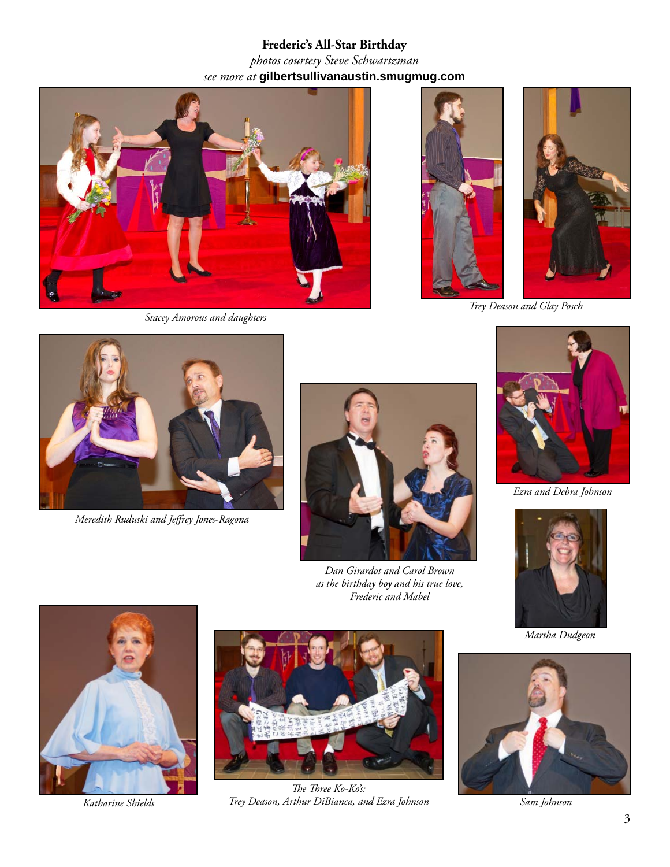## **Frederic's All-Star Birthday** *photos courtesy Steve Schwartzman see more at* **gilbertsullivanaustin.smugmug.com**



*Stacey Amorous and daughters*





*Trey Deason and Glay Posch*



*Meredith Ruduski and Jeff rey Jones-Ragona*



*Dan Girardot and Carol Brown as the birthday boy and his true love, Frederic and Mabel*



*Ezra and Debra Johnson*



*Martha Dudgeon*





The Three Ko-Ko's: *Trey Deason, Arthur DiBianca, and Ezra Johnson Katharine Shields Sam Johnson*

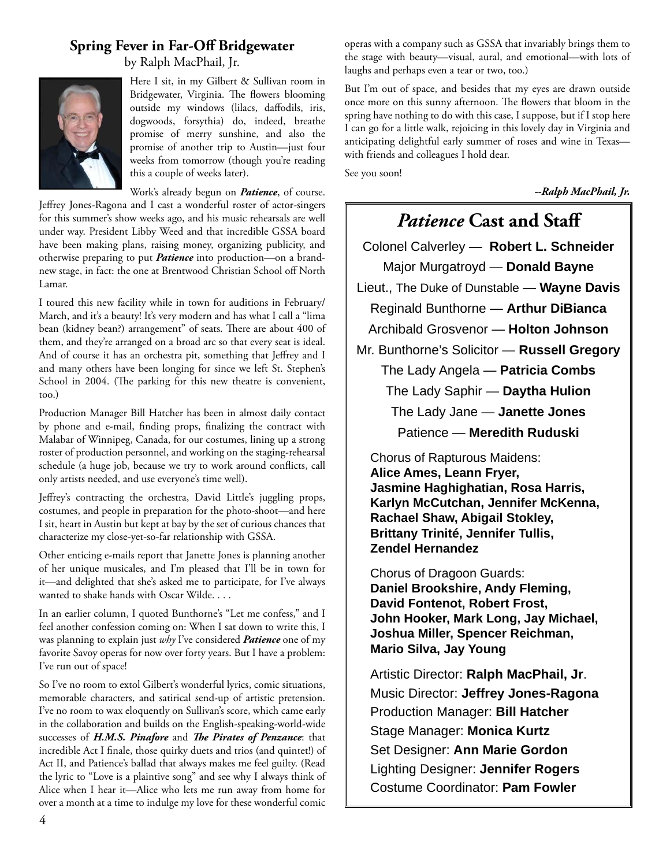#### **Spring Fever in Far-Off Bridgewater**

by Ralph MacPhail, Jr.



Here I sit, in my Gilbert & Sullivan room in Bridgewater, Virginia. The flowers blooming outside my windows (lilacs, daffodils, iris, dogwoods, forsythia) do, indeed, breathe promise of merry sunshine, and also the promise of another trip to Austin—just four weeks from tomorrow (though you're reading this a couple of weeks later).

Work's already begun on *Patience*, of course.

Jeffrey Jones-Ragona and I cast a wonderful roster of actor-singers for this summer's show weeks ago, and his music rehearsals are well under way. President Libby Weed and that incredible GSSA board have been making plans, raising money, organizing publicity, and otherwise preparing to put *Patience* into production—on a brandnew stage, in fact: the one at Brentwood Christian School off North Lamar.

I toured this new facility while in town for auditions in February/ March, and it's a beauty! It's very modern and has what I call a "lima bean (kidney bean?) arrangement" of seats. There are about 400 of them, and they're arranged on a broad arc so that every seat is ideal. And of course it has an orchestra pit, something that Jeffrey and I and many others have been longing for since we left St. Stephen's School in 2004. (The parking for this new theatre is convenient, too.)

Production Manager Bill Hatcher has been in almost daily contact by phone and e-mail, finding props, finalizing the contract with Malabar of Winnipeg, Canada, for our costumes, lining up a strong roster of production personnel, and working on the staging-rehearsal schedule (a huge job, because we try to work around conflicts, call only artists needed, and use everyone's time well).

Jeffrey's contracting the orchestra, David Little's juggling props, costumes, and people in preparation for the photo-shoot—and here I sit, heart in Austin but kept at bay by the set of curious chances that characterize my close-yet-so-far relationship with GSSA.

Other enticing e-mails report that Janette Jones is planning another of her unique musicales, and I'm pleased that I'll be in town for it—and delighted that she's asked me to participate, for I've always wanted to shake hands with Oscar Wilde. . . .

In an earlier column, I quoted Bunthorne's "Let me confess," and I feel another confession coming on: When I sat down to write this, I was planning to explain just *why* I've considered *Patience* one of my favorite Savoy operas for now over forty years. But I have a problem: I've run out of space!

So I've no room to extol Gilbert's wonderful lyrics, comic situations, memorable characters, and satirical send-up of artistic pretension. I've no room to wax eloquently on Sullivan's score, which came early in the collaboration and builds on the English-speaking-world-wide successes of *H.M.S. Pinafore* and *The Pirates of Penzance*: that incredible Act I finale, those quirky duets and trios (and quintet!) of Act II, and Patience's ballad that always makes me feel guilty. (Read the lyric to "Love is a plaintive song" and see why I always think of Alice when I hear it—Alice who lets me run away from home for over a month at a time to indulge my love for these wonderful comic

operas with a company such as GSSA that invariably brings them to the stage with beauty—visual, aural, and emotional—with lots of laughs and perhaps even a tear or two, too.)

But I'm out of space, and besides that my eyes are drawn outside once more on this sunny afternoon. The flowers that bloom in the spring have nothing to do with this case, I suppose, but if I stop here I can go for a little walk, rejoicing in this lovely day in Virginia and anticipating delightful early summer of roses and wine in Texas with friends and colleagues I hold dear.

See you soon!

*--Ralph MacPhail, Jr.*

# *Patience* **Cast and Staff**

Colonel Calverley — **Robert L. Schneider** Major Murgatroyd — **Donald Bayne** Lieut., The Duke of Dunstable — **Wayne Davis** Reginald Bunthorne — **Arthur DiBianca** Archibald Grosvenor — **Holton Johnson** Mr. Bunthorne's Solicitor — **Russell Gregory** The Lady Angela — **Patricia Combs** The Lady Saphir — **Daytha Hulion** The Lady Jane — **Janette Jones**

Patience — **Meredith Ruduski**

Chorus of Rapturous Maidens: **Alice Ames, Leann Fryer, Jasmine Haghighatian, Rosa Harris, Karlyn McCutchan, Jennifer McKenna, Rachael Shaw, Abigail Stokley, Brittany Trinité, Jennifer Tullis, Zendel Hernandez**

Chorus of Dragoon Guards: **Daniel Brookshire, Andy Fleming, David Fontenot, Robert Frost, John Hooker, Mark Long, Jay Michael, Joshua Miller, Spencer Reichman, Mario Silva, Jay Young** 

Artistic Director: **Ralph MacPhail, Jr**. Music Director: **Jeffrey Jones-Ragona** Production Manager: **Bill Hatcher** Stage Manager: **Monica Kurtz** Set Designer: **Ann Marie Gordon** Lighting Designer: **Jennifer Rogers** Costume Coordinator: **Pam Fowler**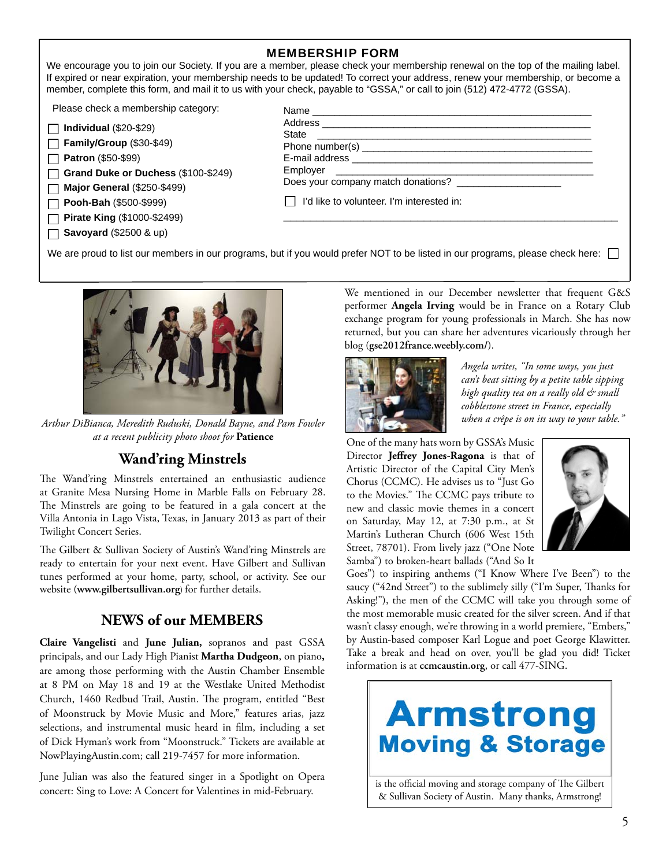| <b>MEMBERSHIP FORM</b> |  |
|------------------------|--|
|------------------------|--|

We encourage you to join our Society. If you are a member, please check your membership renewal on the top of the mailing label. If expired or near expiration, your membership needs to be updated! To correct your address, renew your membership, or become a member, complete this form, and mail it to us with your check, payable to "GSSA," or call to join (512) 472-4772 (GSSA).

Please check a membership category:

| Please check a membership category: | Name                                      |
|-------------------------------------|-------------------------------------------|
| $\Box$ Individual (\$20-\$29)       |                                           |
| $\Box$ Family/Group (\$30-\$49)     |                                           |
| $\Box$ Patron (\$50-\$99)           |                                           |
| Grand Duke or Duchess (\$100-\$249) | Employer                                  |
| $\Box$ Major General (\$250-\$499)  |                                           |
| $\Box$ Pooh-Bah (\$500-\$999)       | I'd like to volunteer. I'm interested in: |
| □ Pirate King (\$1000-\$2499)       |                                           |
| $\Box$ Savoyard (\$2500 & up)       |                                           |
|                                     |                                           |

We are proud to list our members in our programs, but if you would prefer NOT to be listed in our programs, please check here:



*when a crêpe is on its way to your table." Arthur DiBianca, Meredith Ruduski, Donald Bayne, and Pam Fowler at a recent publicity photo shoot for* **Patience**

#### **Wand'ring Minstrels**

The Wand'ring Minstrels entertained an enthusiastic audience at Granite Mesa Nursing Home in Marble Falls on February 28. The Minstrels are going to be featured in a gala concert at the Villa Antonia in Lago Vista, Texas, in January 2013 as part of their Twilight Concert Series.

The Gilbert & Sullivan Society of Austin's Wand'ring Minstrels are ready to entertain for your next event. Have Gilbert and Sullivan tunes performed at your home, party, school, or activity. See our website (**www.gilbertsullivan.org**) for further details.

#### **NEWS of our MEMBERS**

**Claire Vangelisti** and **June Julian,** sopranos and past GSSA principals, and our Lady High Pianist **Martha Dudgeon**, on piano**,**  are among those performing with the Austin Chamber Ensemble at 8 PM on May 18 and 19 at the Westlake United Methodist Church, 1460 Redbud Trail, Austin. The program, entitled "Best of Moonstruck by Movie Music and More," features arias, jazz selections, and instrumental music heard in film, including a set of Dick Hyman's work from "Moonstruck." Tickets are available at NowPlayingAustin.com; call 219-7457 for more information.

June Julian was also the featured singer in a Spotlight on Opera concert: Sing to Love: A Concert for Valentines in mid-February.

We mentioned in our December newsletter that frequent G&S performer **Angela Irving** would be in France on a Rotary Club exchange program for young professionals in March. She has now returned, but you can share her adventures vicariously through her blog (**gse2012france.weebly.com/**).



*Angela writes, "In some ways, you just can't beat sitting by a petite table sipping high quality tea on a really old & small cobblestone street in France, especially* 

One of the many hats worn by GSSA's Music Director Jeffrey Jones-Ragona is that of Artistic Director of the Capital City Men's Chorus (CCMC). He advises us to "Just Go to the Movies." The CCMC pays tribute to new and classic movie themes in a concert on Saturday, May 12, at 7:30 p.m., at St Martin's Lutheran Church (606 West 15th Street, 78701). From lively jazz ("One Note Samba") to broken-heart ballads ("And So It



Goes") to inspiring anthems ("I Know Where I've Been") to the saucy ("42nd Street") to the sublimely silly ("I'm Super, Thanks for Asking!"), the men of the CCMC will take you through some of the most memorable music created for the silver screen. And if that wasn't classy enough, we're throwing in a world premiere, "Embers," by Austin-based composer Karl Logue and poet George Klawitter. Take a break and head on over, you'll be glad you did! Ticket information is at **ccmcaustin.org**, or call 477-SING.